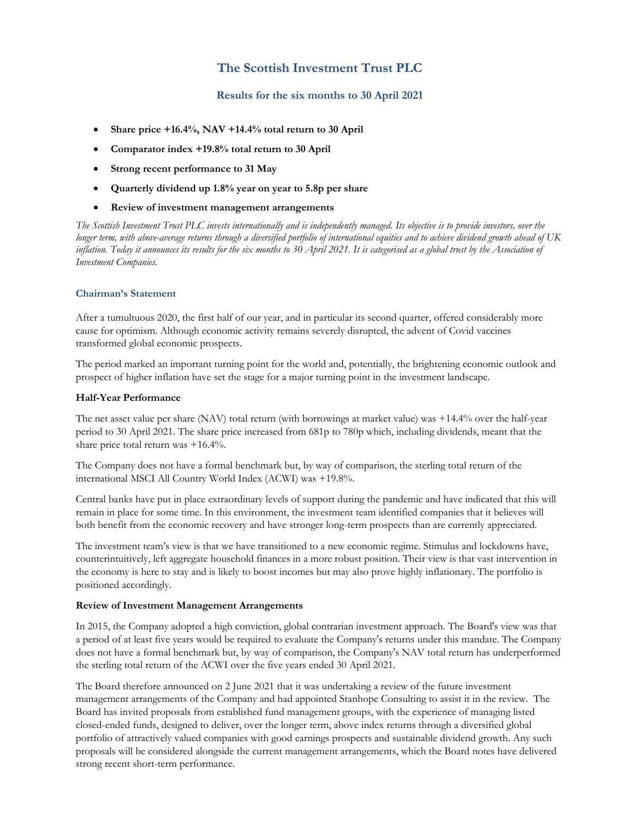## **The Scottish Investment Trust PLC**

### **Results for the six months to 30 April 2021**

- Share price +16.4%, NAV +14.4% total return to 30 April
- **Comparator index +19.8% total return to 30 April**
- **Strong recent performance to 31 May**
- **Quarterly dividend up 1.8% year on year to 5.8p per share**
- **Review of investment management arrangements**

*The Scottish Investment Trust PLC invests internationally and is independently managed. Its objective is to provide investors, over the longer term, with above-average returns through a diversified portfolio of international equities and to achieve dividend growth ahead of UK inflation. Today it announces its results for the six months to 30 April 2021. It is categorised as a global trust by the Association of Investment Companies.*

### **Chairman's Statement**

After a tumultuous 2020, the first half of our year, and in particular its second quarter, offered considerably more cause for optimism. Although economic activity remains severely disrupted, the advent of Covid vaccines transformed global economic prospects.

The period marked an important turning point for the world and, potentially, the brightening economic outlook and prospect of higher inflation have set the stage for a major turning point in the investment landscape.

### **Half-Year Performance**

The net asset value per share (NAV) total return (with borrowings at market value) was +14.4% over the half-year period to 30 April 2021. The share price increased from 681p to 780p which, including dividends, meant that the share price total return was +16.4%.

The Company does not have a formal benchmark but, by way of comparison, the sterling total return of the international MSCI All Country World Index (ACWI) was +19.8%.

Central banks have put in place extraordinary levels of support during the pandemic and have indicated that this will remain in place for some time. In this environment, the investment team identified companies that it believes will both benefit from the economic recovery and have stronger long-term prospects than are currently appreciated.

The investment team's view is that we have transitioned to a new economic regime. Stimulus and lockdowns have, counterintuitively, left aggregate household finances in a more robust position. Their view is that vast intervention in the economy is here to stay and is likely to boost incomes but may also prove highly inflationary. The portfolio is positioned accordingly.

### **Review of Investment Management Arrangements**

In 2015, the Company adopted a high conviction, global contrarian investment approach. The Board's view was that a period of at least five years would be required to evaluate the Company's returns under this mandate. The Company does not have a formal benchmark but, by way of comparison, the Company's NAV total return has underperformed the sterling total return of the ACWI over the five years ended 30 April 2021.

The Board therefore announced on 2 June 2021 that it was undertaking a review of the future investment management arrangements of the Company and had appointed Stanhope Consulting to assist it in the review. The Board has invited proposals from established fund management groups, with the experience of managing listed closed-ended funds, designed to deliver, over the longer term, above index returns through a diversified global portfolio of attractively valued companies with good earnings prospects and sustainable dividend growth. Any such proposals will be considered alongside the current management arrangements, which the Board notes have delivered strong recent short-term performance.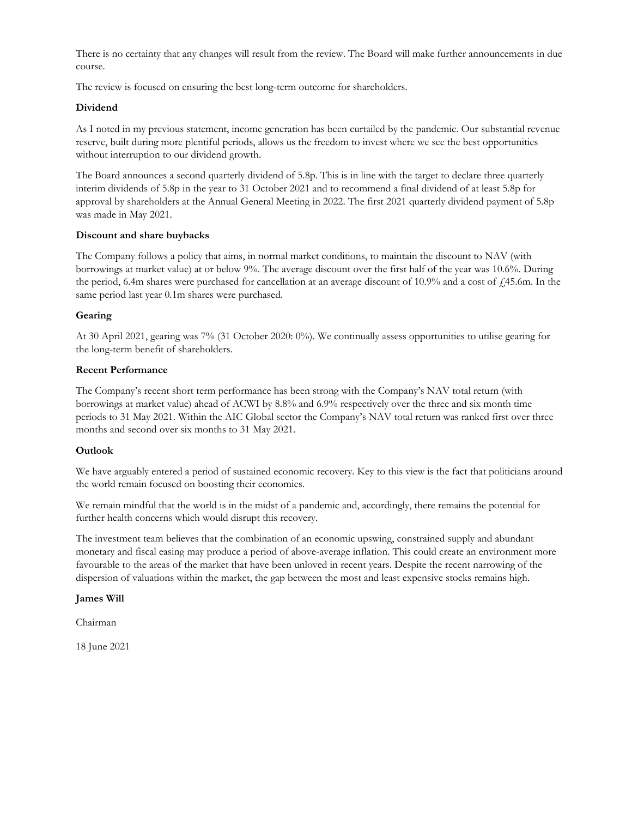There is no certainty that any changes will result from the review. The Board will make further announcements in due course.

The review is focused on ensuring the best long-term outcome for shareholders.

### **Dividend**

As I noted in my previous statement, income generation has been curtailed by the pandemic. Our substantial revenue reserve, built during more plentiful periods, allows us the freedom to invest where we see the best opportunities without interruption to our dividend growth.

The Board announces a second quarterly dividend of 5.8p. This is in line with the target to declare three quarterly interim dividends of 5.8p in the year to 31 October 2021 and to recommend a final dividend of at least 5.8p for approval by shareholders at the Annual General Meeting in 2022. The first 2021 quarterly dividend payment of 5.8p was made in May 2021.

### **Discount and share buybacks**

The Company follows a policy that aims, in normal market conditions, to maintain the discount to NAV (with borrowings at market value) at or below 9%. The average discount over the first half of the year was 10.6%. During the period, 6.4m shares were purchased for cancellation at an average discount of  $10.9\%$  and a cost of  $\ell$ 45.6m. In the same period last year 0.1m shares were purchased.

### **Gearing**

At 30 April 2021, gearing was 7% (31 October 2020: 0%). We continually assess opportunities to utilise gearing for the long-term benefit of shareholders.

### **Recent Performance**

The Company's recent short term performance has been strong with the Company's NAV total return (with borrowings at market value) ahead of ACWI by 8.8% and 6.9% respectively over the three and six month time periods to 31 May 2021. Within the AIC Global sector the Company's NAV total return was ranked first over three months and second over six months to 31 May 2021.

### **Outlook**

We have arguably entered a period of sustained economic recovery. Key to this view is the fact that politicians around the world remain focused on boosting their economies.

We remain mindful that the world is in the midst of a pandemic and, accordingly, there remains the potential for further health concerns which would disrupt this recovery.

The investment team believes that the combination of an economic upswing, constrained supply and abundant monetary and fiscal easing may produce a period of above-average inflation. This could create an environment more favourable to the areas of the market that have been unloved in recent years. Despite the recent narrowing of the dispersion of valuations within the market, the gap between the most and least expensive stocks remains high.

### **James Will**

Chairman

18 June 2021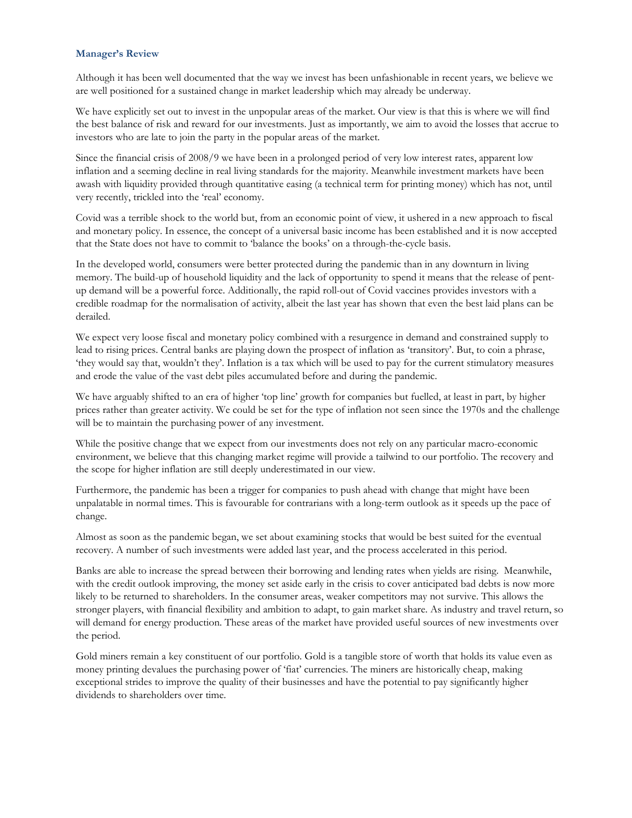#### **Manager's Review**

Although it has been well documented that the way we invest has been unfashionable in recent years, we believe we are well positioned for a sustained change in market leadership which may already be underway.

We have explicitly set out to invest in the unpopular areas of the market. Our view is that this is where we will find the best balance of risk and reward for our investments. Just as importantly, we aim to avoid the losses that accrue to investors who are late to join the party in the popular areas of the market.

Since the financial crisis of 2008/9 we have been in a prolonged period of very low interest rates, apparent low inflation and a seeming decline in real living standards for the majority. Meanwhile investment markets have been awash with liquidity provided through quantitative easing (a technical term for printing money) which has not, until very recently, trickled into the 'real' economy.

Covid was a terrible shock to the world but, from an economic point of view, it ushered in a new approach to fiscal and monetary policy. In essence, the concept of a universal basic income has been established and it is now accepted that the State does not have to commit to 'balance the books' on a through-the-cycle basis.

In the developed world, consumers were better protected during the pandemic than in any downturn in living memory. The build-up of household liquidity and the lack of opportunity to spend it means that the release of pentup demand will be a powerful force. Additionally, the rapid roll-out of Covid vaccines provides investors with a credible roadmap for the normalisation of activity, albeit the last year has shown that even the best laid plans can be derailed.

We expect very loose fiscal and monetary policy combined with a resurgence in demand and constrained supply to lead to rising prices. Central banks are playing down the prospect of inflation as 'transitory'. But, to coin a phrase, 'they would say that, wouldn't they'. Inflation is a tax which will be used to pay for the current stimulatory measures and erode the value of the vast debt piles accumulated before and during the pandemic.

We have arguably shifted to an era of higher 'top line' growth for companies but fuelled, at least in part, by higher prices rather than greater activity. We could be set for the type of inflation not seen since the 1970s and the challenge will be to maintain the purchasing power of any investment.

While the positive change that we expect from our investments does not rely on any particular macro-economic environment, we believe that this changing market regime will provide a tailwind to our portfolio. The recovery and the scope for higher inflation are still deeply underestimated in our view.

Furthermore, the pandemic has been a trigger for companies to push ahead with change that might have been unpalatable in normal times. This is favourable for contrarians with a long-term outlook as it speeds up the pace of change.

Almost as soon as the pandemic began, we set about examining stocks that would be best suited for the eventual recovery. A number of such investments were added last year, and the process accelerated in this period.

Banks are able to increase the spread between their borrowing and lending rates when yields are rising. Meanwhile, with the credit outlook improving, the money set aside early in the crisis to cover anticipated bad debts is now more likely to be returned to shareholders. In the consumer areas, weaker competitors may not survive. This allows the stronger players, with financial flexibility and ambition to adapt, to gain market share. As industry and travel return, so will demand for energy production. These areas of the market have provided useful sources of new investments over the period.

Gold miners remain a key constituent of our portfolio. Gold is a tangible store of worth that holds its value even as money printing devalues the purchasing power of 'fiat' currencies. The miners are historically cheap, making exceptional strides to improve the quality of their businesses and have the potential to pay significantly higher dividends to shareholders over time.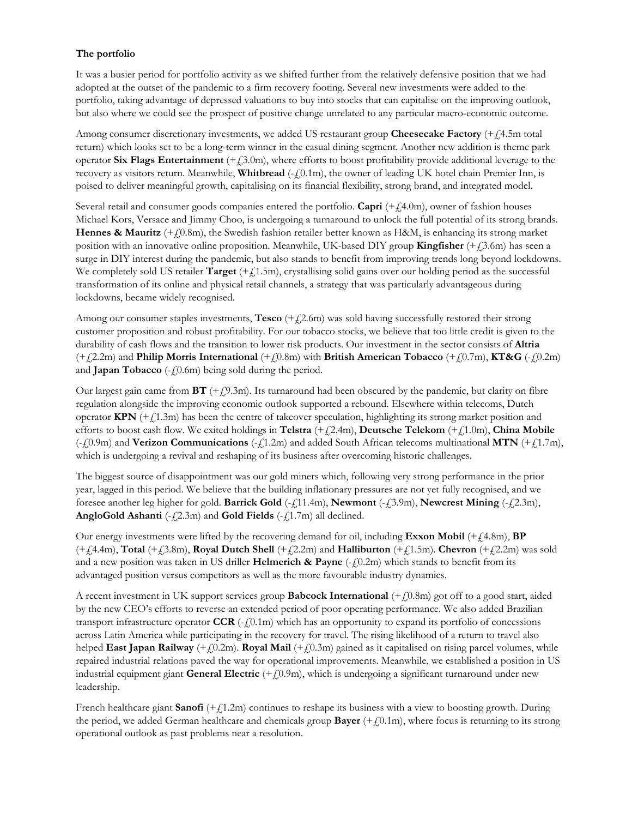### **The portfolio**

It was a busier period for portfolio activity as we shifted further from the relatively defensive position that we had adopted at the outset of the pandemic to a firm recovery footing. Several new investments were added to the portfolio, taking advantage of depressed valuations to buy into stocks that can capitalise on the improving outlook, but also where we could see the prospect of positive change unrelated to any particular macro-economic outcome.

Among consumer discretionary investments, we added US restaurant group **Cheesecake Factory** (+£4.5m total return) which looks set to be a long-term winner in the casual dining segment. Another new addition is theme park operator **Six Flags Entertainment**  $(+2.0\text{m})$ , where efforts to boost profitability provide additional leverage to the recovery as visitors return. Meanwhile, **Whitbread** (- $f(0.1m)$ , the owner of leading UK hotel chain Premier Inn, is poised to deliver meaningful growth, capitalising on its financial flexibility, strong brand, and integrated model.

Several retail and consumer goods companies entered the portfolio. **Capri** (+£4.0m), owner of fashion houses Michael Kors, Versace and Jimmy Choo, is undergoing a turnaround to unlock the full potential of its strong brands. **Hennes & Mauritz** (+ $f(0.8m)$ , the Swedish fashion retailer better known as H&M, is enhancing its strong market position with an innovative online proposition. Meanwhile, UK-based DIY group **Kingfisher** (+£3.6m) has seen a surge in DIY interest during the pandemic, but also stands to benefit from improving trends long beyond lockdowns. We completely sold US retailer **Target** (+ $f$ 1.5m), crystallising solid gains over our holding period as the successful transformation of its online and physical retail channels, a strategy that was particularly advantageous during lockdowns, became widely recognised.

Among our consumer staples investments, **Tesco**  $(+2.6m)$  was sold having successfully restored their strong customer proposition and robust profitability. For our tobacco stocks, we believe that too little credit is given to the durability of cash flows and the transition to lower risk products. Our investment in the sector consists of **Altria**   $(+2.2 \text{m})$  and **Philip Morris International**  $(+0.8 \text{m})$  with **British American Tobacco**  $(+0.7 \text{m})$ , **KT&G**  $(-0.2 \text{m})$ and **Japan Tobacco** ( $-\xi$ 0.6m) being sold during the period.

Our largest gain came from  $BT$  (+ $f(9.3m)$ ). Its turnaround had been obscured by the pandemic, but clarity on fibre regulation alongside the improving economic outlook supported a rebound. Elsewhere within telecoms, Dutch operator  $KPN$  ( $+f$ 1.3m) has been the centre of takeover speculation, highlighting its strong market position and efforts to boost cash flow. We exited holdings in **Telstra** (+£2.4m), **Deutsche Telekom** (+£1.0m), **China Mobile** (-£0.9m) and **Verizon Communications** (-£1.2m) and added South African telecoms multinational **MTN** (+£1.7m), which is undergoing a revival and reshaping of its business after overcoming historic challenges.

The biggest source of disappointment was our gold miners which, following very strong performance in the prior year, lagged in this period. We believe that the building inflationary pressures are not yet fully recognised, and we foresee another leg higher for gold. **Barrick Gold** (-£11.4m), **Newmont** (-£3.9m), **Newcrest Mining** (-£2.3m), **AngloGold Ashanti** ( $-\xi$ 2.3m) and **Gold Fields** ( $-\xi$ 1.7m) all declined.

Our energy investments were lifted by the recovering demand for oil, including **Exxon Mobil**  $(+14.8\text{m})$ , **BP**  $(+1.4$ .4m), **Total**  $(+1.3.8$ m), **Royal Dutch Shell**  $(+1.2.2$ m) and **Halliburton**  $(+1.1.5$ m). **Chevron**  $(+1.2.2$ m) was sold and a new position was taken in US driller **Helmerich & Payne** (-*{*0.2m) which stands to benefit from its advantaged position versus competitors as well as the more favourable industry dynamics.

A recent investment in UK support services group **Babcock International** (+£0.8m) got off to a good start, aided by the new CEO's efforts to reverse an extended period of poor operating performance. We also added Brazilian transport infrastructure operator  $CCR$  ( $-f(0.1m)$ ) which has an opportunity to expand its portfolio of concessions across Latin America while participating in the recovery for travel. The rising likelihood of a return to travel also helped **East Japan Railway** (+ $f(0.2m)$ . **Royal Mail** (+ $f(0.3m)$  gained as it capitalised on rising parcel volumes, while repaired industrial relations paved the way for operational improvements. Meanwhile, we established a position in US industrial equipment giant **General Electric**  $(+10.9m)$ , which is undergoing a significant turnaround under new leadership.

French healthcare giant **Sanofi**  $(+1.2m)$  continues to reshape its business with a view to boosting growth. During the period, we added German healthcare and chemicals group **Bayer**  $(+f(0.1m))$ , where focus is returning to its strong operational outlook as past problems near a resolution.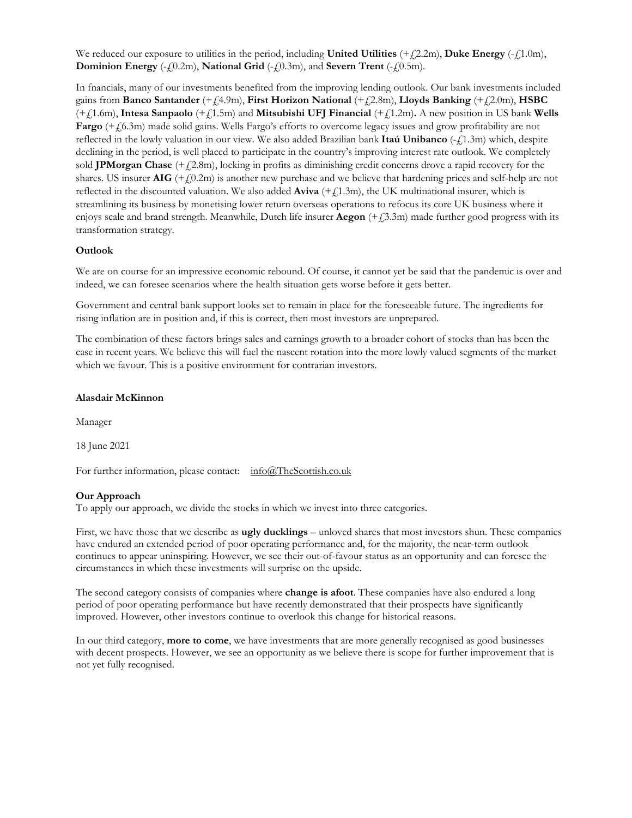We reduced our exposure to utilities in the period, including **United Utilities**  $(+2.2m)$ , **Duke Energy**  $(-1.0m)$ , **Dominion Energy** (- $f(0.2m)$ , **National Grid** (- $f(0.3m)$ , and **Severn Trent** (- $f(0.5m)$ .

In fnancials, many of our investments benefited from the improving lending outlook. Our bank investments included gains from **Banco Santander** (+£4.9m), **First Horizon National** (+£2.8m), **Lloyds Banking** (+£2.0m), **HSBC** (+£1.6m), **Intesa Sanpaolo** (+£1.5m) and **Mitsubishi UFJ Financial** (+£1.2m)**.** A new position in US bank **Wells Fargo** (+£6.3m) made solid gains. Wells Fargo's efforts to overcome legacy issues and grow profitability are not reflected in the lowly valuation in our view. We also added Brazilian bank **Itaú Unibanco** (-£1.3m) which, despite declining in the period, is well placed to participate in the country's improving interest rate outlook. We completely sold **JPMorgan Chase** (+ $f$ 2.8m), locking in profits as diminishing credit concerns drove a rapid recovery for the shares. US insurer  $\text{AIG } (+\text{\textit{f}}0.2\text{m})$  is another new purchase and we believe that hardening prices and self-help are not reflected in the discounted valuation. We also added **Aviva**  $(+1.3m)$ , the UK multinational insurer, which is streamlining its business by monetising lower return overseas operations to refocus its core UK business where it enjoys scale and brand strength. Meanwhile, Dutch life insurer **Aegon** (+ $f$ 3.3m) made further good progress with its transformation strategy.

### **Outlook**

We are on course for an impressive economic rebound. Of course, it cannot yet be said that the pandemic is over and indeed, we can foresee scenarios where the health situation gets worse before it gets better.

Government and central bank support looks set to remain in place for the foreseeable future. The ingredients for rising inflation are in position and, if this is correct, then most investors are unprepared.

The combination of these factors brings sales and earnings growth to a broader cohort of stocks than has been the case in recent years. We believe this will fuel the nascent rotation into the more lowly valued segments of the market which we favour. This is a positive environment for contrarian investors.

#### **Alasdair McKinnon**

Manager

18 June 2021

For further information, please contact: info@TheScottish.co.uk

#### **Our Approach**

To apply our approach, we divide the stocks in which we invest into three categories.

First, we have those that we describe as **ugly ducklings** – unloved shares that most investors shun. These companies have endured an extended period of poor operating performance and, for the majority, the near-term outlook continues to appear uninspiring. However, we see their out-of-favour status as an opportunity and can foresee the circumstances in which these investments will surprise on the upside.

The second category consists of companies where **change is afoot**. These companies have also endured a long period of poor operating performance but have recently demonstrated that their prospects have significantly improved. However, other investors continue to overlook this change for historical reasons.

In our third category, **more to come**, we have investments that are more generally recognised as good businesses with decent prospects. However, we see an opportunity as we believe there is scope for further improvement that is not yet fully recognised.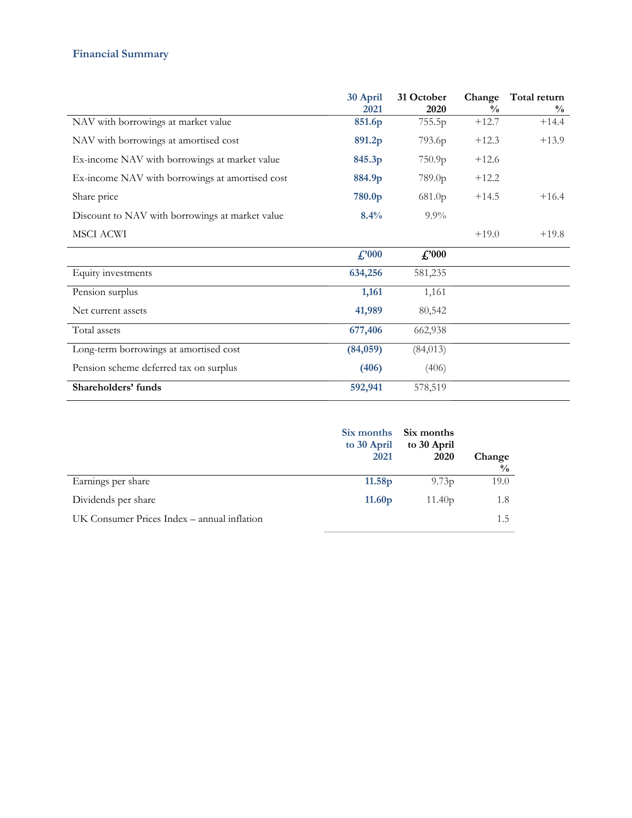# **Financial Summary**

|                                                 | 30 April       | 31 October    | Change        | Total return  |
|-------------------------------------------------|----------------|---------------|---------------|---------------|
|                                                 | 2021           | 2020          | $\frac{0}{0}$ | $\frac{0}{0}$ |
| NAV with borrowings at market value             | 851.6p         | 755.5p        | $+12.7$       | $+14.4$       |
| NAV with borrowings at amortised cost           | 891.2p         | 793.6p        | $+12.3$       | $+13.9$       |
| Ex-income NAV with borrowings at market value   | 845.3p         | 750.9p        | $+12.6$       |               |
| Ex-income NAV with borrowings at amortised cost | 884.9p         | 789.0p        | $+12.2$       |               |
| Share price                                     | 780.0p         | 681.0p        | $+14.5$       | $+16.4$       |
| Discount to NAV with borrowings at market value | 8.4%           | $9.9\%$       |               |               |
| MSCI ACWI                                       |                |               | $+19.0$       | $+19.8$       |
|                                                 | $\pounds$ '000 | $\pounds 000$ |               |               |
| Equity investments                              | 634,256        | 581,235       |               |               |
| Pension surplus                                 | 1,161          | 1,161         |               |               |
| Net current assets                              | 41,989         | 80,542        |               |               |
| Total assets                                    | 677,406        | 662,938       |               |               |
| Long-term borrowings at amortised cost          | (84,059)       | (84, 013)     |               |               |
| Pension scheme deferred tax on surplus          | (406)          | (406)         |               |               |
| Shareholders' funds                             | 592,941        | 578,519       |               |               |

|                                             | Six months<br>to 30 April<br>2021 | Six months<br>to 30 April<br>2020 | Change<br>$\frac{0}{0}$ |
|---------------------------------------------|-----------------------------------|-----------------------------------|-------------------------|
| Earnings per share                          | 11.58 <sub>p</sub>                | 9.73 <sub>p</sub>                 | 19.0                    |
| Dividends per share                         | 11.60 <sub>p</sub>                | 11.40p                            | 1.8                     |
| UK Consumer Prices Index – annual inflation |                                   |                                   | 1.5                     |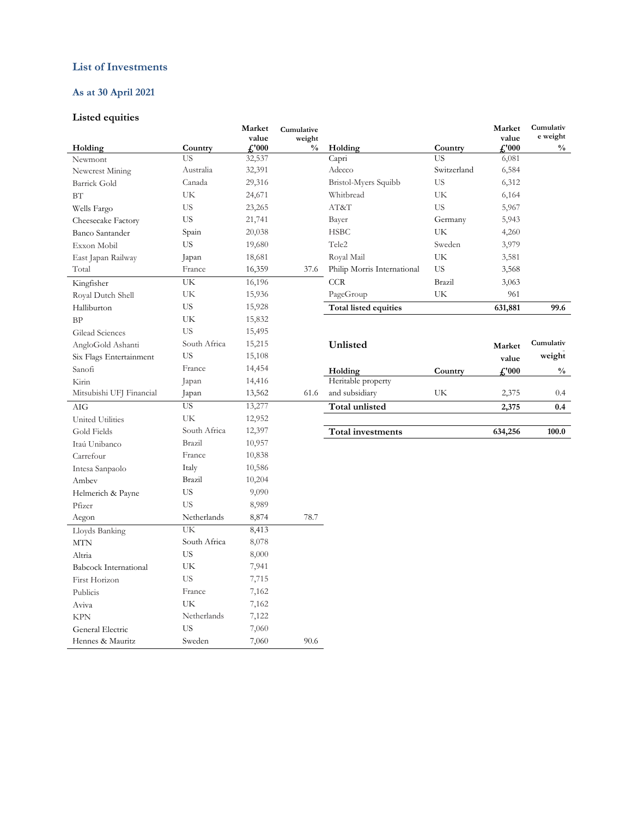### **List of Investments**

## **As at 30 April 2021**

### **Listed equities**

| Holding                      | Country      | Market<br>value<br>$f'_0$ 000 | Cumulative<br>weight<br>$\frac{0}{0}$ | Holding                     | Country     | Market<br>value<br>$\frac{1}{2}$ . | Cumulativ<br>e weight<br>$\frac{0}{0}$ |
|------------------------------|--------------|-------------------------------|---------------------------------------|-----------------------------|-------------|------------------------------------|----------------------------------------|
| Newmont                      | US           | 32,537                        |                                       | Capri                       | US          | 6,081                              |                                        |
| Newcrest Mining              | Australia    | 32,391                        |                                       | Adecco                      | Switzerland | 6,584                              |                                        |
| <b>Barrick Gold</b>          | Canada       | 29,316                        |                                       | Bristol-Myers Squibb        | <b>US</b>   | 6,312                              |                                        |
| BT                           | UK           | 24,671                        |                                       | Whitbread                   | UK          | 6,164                              |                                        |
| Wells Fargo                  | <b>US</b>    | 23,265                        |                                       | AT&T                        | <b>US</b>   | 5,967                              |                                        |
| Cheesecake Factory           | <b>US</b>    | 21,741                        |                                       | Bayer                       | Germany     | 5,943                              |                                        |
| Banco Santander              | Spain        | 20,038                        |                                       | <b>HSBC</b>                 | UK          | 4,260                              |                                        |
| Exxon Mobil                  | <b>US</b>    | 19,680                        |                                       | Tele2                       | Sweden      | 3,979                              |                                        |
| East Japan Railway           | Japan        | 18,681                        |                                       | Royal Mail                  | UK          | 3,581                              |                                        |
| Total                        | France       | 16,359                        | 37.6                                  | Philip Morris International | US.         | 3,568                              |                                        |
| Kingfisher                   | UK           | 16,196                        |                                       | <b>CCR</b>                  | Brazil      | 3,063                              |                                        |
| Royal Dutch Shell            | UK           | 15,936                        |                                       | PageGroup                   | UK          | 961                                |                                        |
| Halliburton                  | <b>US</b>    | 15,928                        |                                       | Total listed equities       |             | 631,881                            | 99.6                                   |
| BP                           | UK           | 15,832                        |                                       |                             |             |                                    |                                        |
| Gilead Sciences              | <b>US</b>    | 15,495                        |                                       |                             |             |                                    |                                        |
| AngloGold Ashanti            | South Africa | 15,215                        |                                       | Unlisted                    |             | Market                             | Cumulativ                              |
| Six Flags Entertainment      | US.          | 15,108                        |                                       |                             |             | value                              | weight                                 |
| Sanofi                       | France       | 14,454                        |                                       | Holding                     | Country     | £'000                              | $\frac{0}{0}$                          |
| Kirin                        | Japan        | 14,416                        |                                       | Heritable property          |             |                                    |                                        |
| Mitsubishi UFJ Financial     | Japan        | 13,562                        | 61.6                                  | and subsidiary              | UK          | 2,375                              | 0.4                                    |
| AIG                          | <b>US</b>    | 13,277                        |                                       | Total unlisted              |             | 2,375                              | 0.4                                    |
| United Utilities             | UK           | 12,952                        |                                       |                             |             |                                    |                                        |
| Gold Fields                  | South Africa | 12,397                        |                                       | <b>Total investments</b>    |             | 634,256                            | 100.0                                  |
| Itaú Unibanco                | Brazil       | 10,957                        |                                       |                             |             |                                    |                                        |
| Carrefour                    | France       | 10,838                        |                                       |                             |             |                                    |                                        |
| Intesa Sanpaolo              | Italy        | 10,586                        |                                       |                             |             |                                    |                                        |
| Ambev                        | Brazil       | 10,204                        |                                       |                             |             |                                    |                                        |
| Helmerich & Payne            | <b>US</b>    | 9,090                         |                                       |                             |             |                                    |                                        |
| Pfizer                       | <b>US</b>    | 8,989                         |                                       |                             |             |                                    |                                        |
| Aegon                        | Netherlands  | 8,874                         | 78.7                                  |                             |             |                                    |                                        |
| Lloyds Banking               | UK           | 8,413                         |                                       |                             |             |                                    |                                        |
| MTN                          | South Africa | 8,078                         |                                       |                             |             |                                    |                                        |
| Altria                       | <b>US</b>    | 8,000                         |                                       |                             |             |                                    |                                        |
| <b>Babcock International</b> | UK           | 7,941                         |                                       |                             |             |                                    |                                        |
| First Horizon                | <b>US</b>    | 7,715                         |                                       |                             |             |                                    |                                        |
| Publicis                     | France       | 7,162                         |                                       |                             |             |                                    |                                        |
| Aviva                        | UK           | 7,162                         |                                       |                             |             |                                    |                                        |
| <b>KPN</b>                   | Netherlands  | 7,122                         |                                       |                             |             |                                    |                                        |
| General Electric             | <b>US</b>    | 7,060                         |                                       |                             |             |                                    |                                        |
| Hennes & Mauritz             | Sweden       | 7,060                         | 90.6                                  |                             |             |                                    |                                        |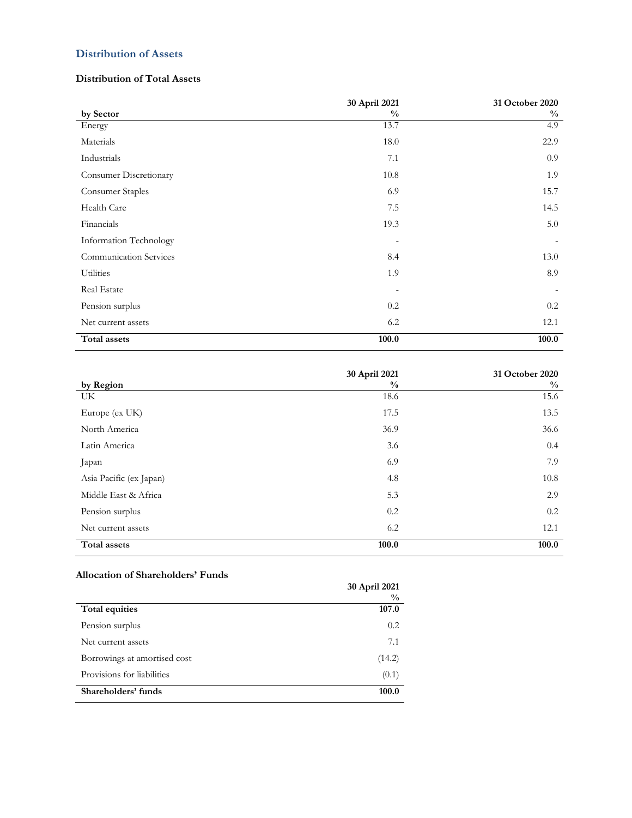### **Distribution of Assets**

### **Distribution of Total Assets**

|                               | 30 April 2021 | 31 October 2020 |
|-------------------------------|---------------|-----------------|
| by Sector                     | $\frac{0}{0}$ | $\frac{0}{0}$   |
| Energy                        | 13.7          | 4.9             |
| Materials                     | 18.0          | 22.9            |
| Industrials                   | 7.1           | 0.9             |
| Consumer Discretionary        | 10.8          | 1.9             |
| Consumer Staples              | 6.9           | 15.7            |
| Health Care                   | 7.5           | 14.5            |
| Financials                    | 19.3          | 5.0             |
| Information Technology        |               |                 |
| <b>Communication Services</b> | 8.4           | 13.0            |
| <b>Utilities</b>              | 1.9           | 8.9             |
| Real Estate                   |               |                 |
| Pension surplus               | 0.2           | 0.2             |
| Net current assets            | 6.2           | 12.1            |
| Total assets                  | 100.0         | 100.0           |

|                         | 30 April 2021 | 31 October 2020 |
|-------------------------|---------------|-----------------|
| by Region               | $\frac{0}{0}$ | $\frac{0}{0}$   |
| UK.                     | 18.6          | 15.6            |
| Europe (ex UK)          | 17.5          | 13.5            |
| North America           | 36.9          | 36.6            |
| Latin America           | 3.6           | 0.4             |
| Japan                   | 6.9           | 7.9             |
| Asia Pacific (ex Japan) | 4.8           | 10.8            |
| Middle East & Africa    | 5.3           | 2.9             |
| Pension surplus         | 0.2           | 0.2             |
| Net current assets      | 6.2           | 12.1            |
| Total assets            | 100.0         | 100.0           |

### **Allocation of Shareholders' Funds**

| Allocation of Shareholders Funds | 30 April 2021<br>$\frac{0}{0}$ |
|----------------------------------|--------------------------------|
| Total equities                   | 107.0                          |
| Pension surplus                  | 0.2                            |
| Net current assets               | 7.1                            |
| Borrowings at amortised cost     | (14.2)                         |
| Provisions for liabilities       | (0.1)                          |
| Shareholders' funds              | 100.0                          |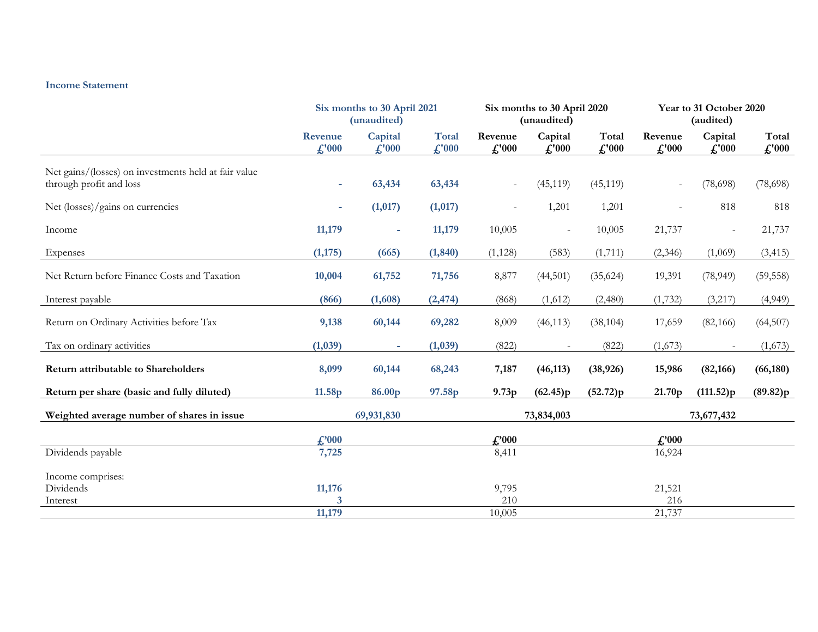#### **Income Statement**

|                                                                                 | Six months to 30 April 2021<br>(unaudited) |                                         | Six months to 30 April 2020<br>(unaudited) |                               |                   | Year to 31 October 2020<br>(audited) |                      |                      |                                       |
|---------------------------------------------------------------------------------|--------------------------------------------|-----------------------------------------|--------------------------------------------|-------------------------------|-------------------|--------------------------------------|----------------------|----------------------|---------------------------------------|
|                                                                                 | Revenue<br>$\mathcal{L}$ '000              | Capital<br>$\textbf{\textsterling}1000$ | <b>Total</b><br>f''000                     | Revenue<br>$\mathcal{L}$ '000 | Capital<br>f.'000 | Total<br>$\textcolor{red}{f}$ ,'000  | Revenue<br>$f''$ 000 | Capital<br>$f''$ 000 | Total<br>$\textbf{\textsterling}1000$ |
| Net gains/(losses) on investments held at fair value<br>through profit and loss | $\sim$                                     | 63,434                                  | 63,434                                     |                               | (45, 119)         | (45, 119)                            |                      | (78, 698)            | (78,698)                              |
| Net (losses)/gains on currencies                                                |                                            | (1,017)                                 | (1,017)                                    |                               | 1,201             | 1,201                                | $\overline{a}$       | 818                  | 818                                   |
| Income                                                                          | 11,179                                     | ٠                                       | 11,179                                     | 10,005                        | $\equiv$          | 10,005                               | 21,737               |                      | 21,737                                |
| Expenses                                                                        | (1, 175)                                   | (665)                                   | (1, 840)                                   | (1, 128)                      | (583)             | (1,711)                              | (2,346)              | (1,069)              | (3, 415)                              |
| Net Return before Finance Costs and Taxation                                    | 10,004                                     | 61,752                                  | 71,756                                     | 8,877                         | (44,501)          | (35, 624)                            | 19,391               | (78, 949)            | (59, 558)                             |
| Interest payable                                                                | (866)                                      | (1,608)                                 | (2, 474)                                   | (868)                         | (1,612)           | (2,480)                              | (1,732)              | (3,217)              | (4,949)                               |
| Return on Ordinary Activities before Tax                                        | 9,138                                      | 60,144                                  | 69,282                                     | 8,009                         | (46, 113)         | (38, 104)                            | 17,659               | (82, 166)            | (64, 507)                             |
| Tax on ordinary activities                                                      | (1,039)                                    | $\sim$                                  | (1,039)                                    | (822)                         |                   | (822)                                | (1,673)              |                      | (1,673)                               |
| <b>Return attributable to Shareholders</b>                                      | 8,099                                      | 60,144                                  | 68,243                                     | 7,187                         | (46, 113)         | (38, 926)                            | 15,986               | (82, 166)            | (66, 180)                             |
| Return per share (basic and fully diluted)                                      | 11.58p                                     | 86.00 <sub>p</sub>                      | 97.58p                                     | 9.73p                         | (62.45)p          | (52.72)p                             | 21.70p               | (111.52)p            | (89.82)p                              |
| Weighted average number of shares in issue                                      |                                            | 69,931,830                              |                                            |                               | 73,834,003        |                                      |                      | 73,677,432           |                                       |
|                                                                                 | f.'000                                     |                                         |                                            | f.'000                        |                   |                                      | $\pounds 000$        |                      |                                       |
| Dividends payable                                                               | 7,725                                      |                                         |                                            | 8,411                         |                   |                                      | 16,924               |                      |                                       |
| Income comprises:<br>Dividends                                                  |                                            |                                         |                                            |                               |                   |                                      |                      |                      |                                       |
| Interest                                                                        | 11,176<br>3                                |                                         |                                            | 9,795<br>210                  |                   |                                      | 21,521<br>216        |                      |                                       |
|                                                                                 | 11,179                                     |                                         |                                            | 10,005                        |                   |                                      | 21,737               |                      |                                       |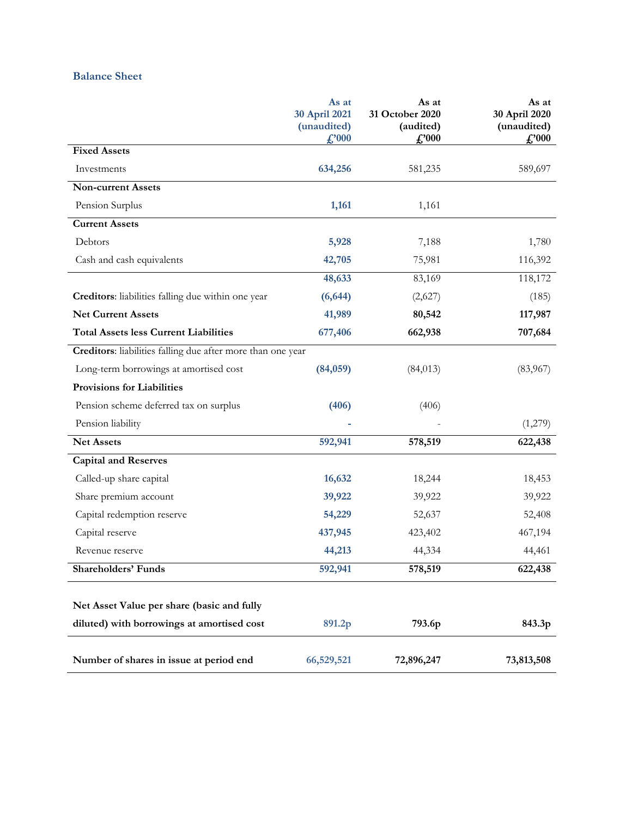## **Balance Sheet**

|                                                             | As at<br>30 April 2021<br>(unaudited)<br>$\pounds 000$ | As at<br>31 October 2020<br>(audited)<br>$\pounds 000$ | As at<br>30 April 2020<br>(unaudited)<br>$\pounds 000$ |
|-------------------------------------------------------------|--------------------------------------------------------|--------------------------------------------------------|--------------------------------------------------------|
| <b>Fixed Assets</b>                                         |                                                        |                                                        |                                                        |
| Investments                                                 | 634,256                                                | 581,235                                                | 589,697                                                |
| <b>Non-current Assets</b>                                   |                                                        |                                                        |                                                        |
| Pension Surplus                                             | 1,161                                                  | 1,161                                                  |                                                        |
| <b>Current Assets</b>                                       |                                                        |                                                        |                                                        |
| Debtors                                                     | 5,928                                                  | 7,188                                                  | 1,780                                                  |
| Cash and cash equivalents                                   | 42,705                                                 | 75,981                                                 | 116,392                                                |
|                                                             | 48,633                                                 | 83,169                                                 | 118,172                                                |
| Creditors: liabilities falling due within one year          | (6, 644)                                               | (2,627)                                                | (185)                                                  |
| <b>Net Current Assets</b>                                   | 41,989                                                 | 80,542                                                 | 117,987                                                |
| <b>Total Assets less Current Liabilities</b>                | 677,406                                                | 662,938                                                | 707,684                                                |
| Creditors: liabilities falling due after more than one year |                                                        |                                                        |                                                        |
| Long-term borrowings at amortised cost                      | (84,059)                                               | (84, 013)                                              | (83,967)                                               |
| <b>Provisions for Liabilities</b>                           |                                                        |                                                        |                                                        |
| Pension scheme deferred tax on surplus                      | (406)                                                  | (406)                                                  |                                                        |
| Pension liability                                           |                                                        |                                                        | (1,279)                                                |
| <b>Net Assets</b>                                           | 592,941                                                | 578,519                                                | 622,438                                                |
| <b>Capital and Reserves</b>                                 |                                                        |                                                        |                                                        |
| Called-up share capital                                     | 16,632                                                 | 18,244                                                 | 18,453                                                 |
| Share premium account                                       | 39,922                                                 | 39,922                                                 | 39,922                                                 |
| Capital redemption reserve                                  | 54,229                                                 | 52,637                                                 | 52,408                                                 |
| Capital reserve                                             | 437,945                                                | 423,402                                                | 467,194                                                |
| Revenue reserve                                             | 44,213                                                 | 44,334                                                 | 44,461                                                 |
| <b>Shareholders' Funds</b>                                  | 592,941                                                | 578,519                                                | 622,438                                                |
|                                                             |                                                        |                                                        |                                                        |
| Net Asset Value per share (basic and fully                  |                                                        |                                                        |                                                        |
| diluted) with borrowings at amortised cost                  | 891.2p                                                 | 793.6p                                                 | 843.3p                                                 |
| Number of shares in issue at period end                     | 66,529,521                                             | 72,896,247                                             | 73,813,508                                             |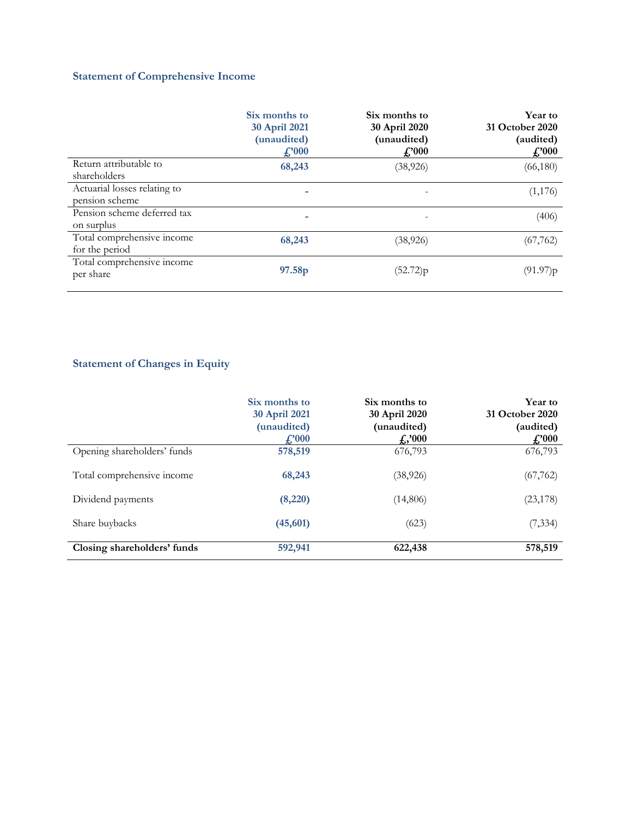## **Statement of Comprehensive Income**

|                              | Six months to<br>30 April 2021<br>(unaudited)<br>$\pounds$ '000 | Six months to<br>30 April 2020<br>(unaudited)<br>$\pounds 000$ | Year to<br>31 October 2020<br>(audited)<br>$\pounds 000$ |  |
|------------------------------|-----------------------------------------------------------------|----------------------------------------------------------------|----------------------------------------------------------|--|
| Return attributable to       | 68,243                                                          | (38, 926)                                                      | (66,180)                                                 |  |
| shareholders                 |                                                                 |                                                                |                                                          |  |
| Actuarial losses relating to |                                                                 |                                                                | (1,176)                                                  |  |
| pension scheme               |                                                                 |                                                                |                                                          |  |
| Pension scheme deferred tax  |                                                                 |                                                                | (406)                                                    |  |
| on surplus                   |                                                                 |                                                                |                                                          |  |
| Total comprehensive income   | 68,243                                                          | (38, 926)                                                      | (67, 762)                                                |  |
| for the period               |                                                                 |                                                                |                                                          |  |
| Total comprehensive income   |                                                                 |                                                                |                                                          |  |
| per share                    | 97.58p                                                          | (52.72)p                                                       | (91.97)p                                                 |  |
|                              |                                                                 |                                                                |                                                          |  |

# **Statement of Changes in Equity**

|                             | Six months to<br>30 April 2021<br>(unaudited)<br>$f''_{000}$ | Six months to<br>30 April 2020<br>(unaudited)<br>$f_{\rm s}$ ,'000 | Year to<br>31 October 2020<br>(audited)<br>$\pounds 000$ |
|-----------------------------|--------------------------------------------------------------|--------------------------------------------------------------------|----------------------------------------------------------|
| Opening shareholders' funds | 578,519                                                      | 676,793                                                            | 676,793                                                  |
| Total comprehensive income  | 68,243                                                       | (38, 926)                                                          | (67, 762)                                                |
| Dividend payments           | (8,220)                                                      | (14,806)                                                           | (23, 178)                                                |
| Share buybacks              | (45, 601)                                                    | (623)                                                              | (7, 334)                                                 |
| Closing shareholders' funds | 592,941                                                      | 622,438                                                            | 578,519                                                  |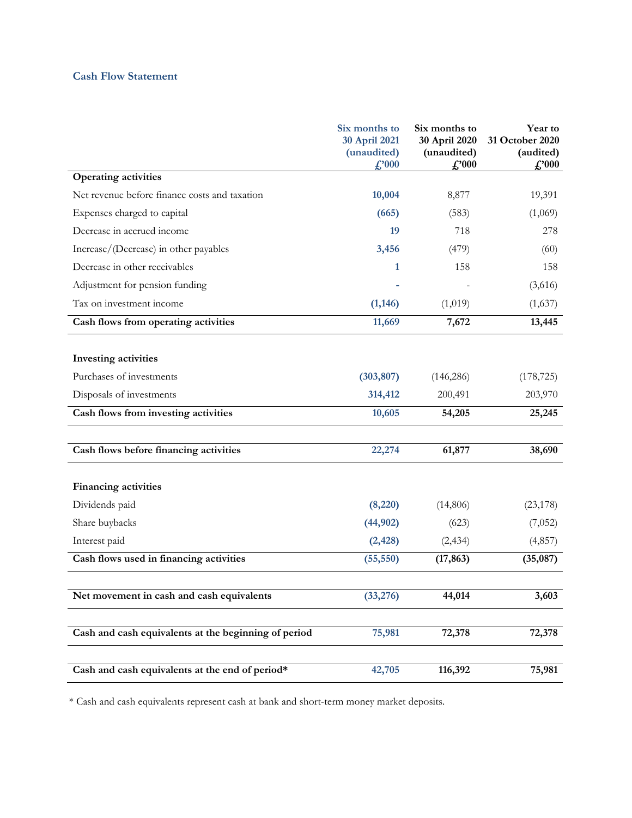## **Cash Flow Statement**

|                                                      | Six months to<br>30 April 2021<br>(unaudited)<br>f.'000 | Six months to<br>30 April 2020<br>(unaudited)<br>f.'000 | Year to<br>31 October 2020<br>(audited)<br>$\pounds 000$ |
|------------------------------------------------------|---------------------------------------------------------|---------------------------------------------------------|----------------------------------------------------------|
| Operating activities                                 |                                                         |                                                         |                                                          |
| Net revenue before finance costs and taxation        | 10,004                                                  | 8,877                                                   | 19,391                                                   |
| Expenses charged to capital                          | (665)                                                   | (583)                                                   | (1,069)                                                  |
| Decrease in accrued income                           | 19                                                      | 718                                                     | 278                                                      |
| Increase/(Decrease) in other payables                | 3,456                                                   | (479)                                                   | (60)                                                     |
| Decrease in other receivables                        | 1                                                       | 158                                                     | 158                                                      |
| Adjustment for pension funding                       |                                                         |                                                         | (3,616)                                                  |
| Tax on investment income                             | (1, 146)                                                | (1,019)                                                 | (1,637)                                                  |
| Cash flows from operating activities                 | 11,669                                                  | 7,672                                                   | 13,445                                                   |
| Investing activities                                 |                                                         |                                                         |                                                          |
| Purchases of investments                             | (303, 807)                                              | (146, 286)                                              | (178, 725)                                               |
| Disposals of investments                             | 314,412                                                 | 200,491                                                 | 203,970                                                  |
| Cash flows from investing activities                 | 10,605                                                  | 54,205                                                  | 25,245                                                   |
|                                                      |                                                         |                                                         |                                                          |
| Cash flows before financing activities               | 22,274                                                  | 61,877                                                  | 38,690                                                   |
| <b>Financing activities</b>                          |                                                         |                                                         |                                                          |
| Dividends paid                                       | (8,220)                                                 | (14,806)                                                | (23, 178)                                                |
| Share buybacks                                       | (44, 902)                                               | (623)                                                   | (7,052)                                                  |
| Interest paid                                        | (2, 428)                                                | (2, 434)                                                | (4,857)                                                  |
| Cash flows used in financing activities              | (55, 550)                                               | (17, 863)                                               | (35,087)                                                 |
|                                                      |                                                         |                                                         |                                                          |
| Net movement in cash and cash equivalents            | (33, 276)                                               | 44,014                                                  | 3,603                                                    |
| Cash and cash equivalents at the beginning of period | 75,981                                                  | 72,378                                                  | 72,378                                                   |
| Cash and cash equivalents at the end of period*      | 42,705                                                  | 116,392                                                 | 75,981                                                   |

\* Cash and cash equivalents represent cash at bank and short-term money market deposits.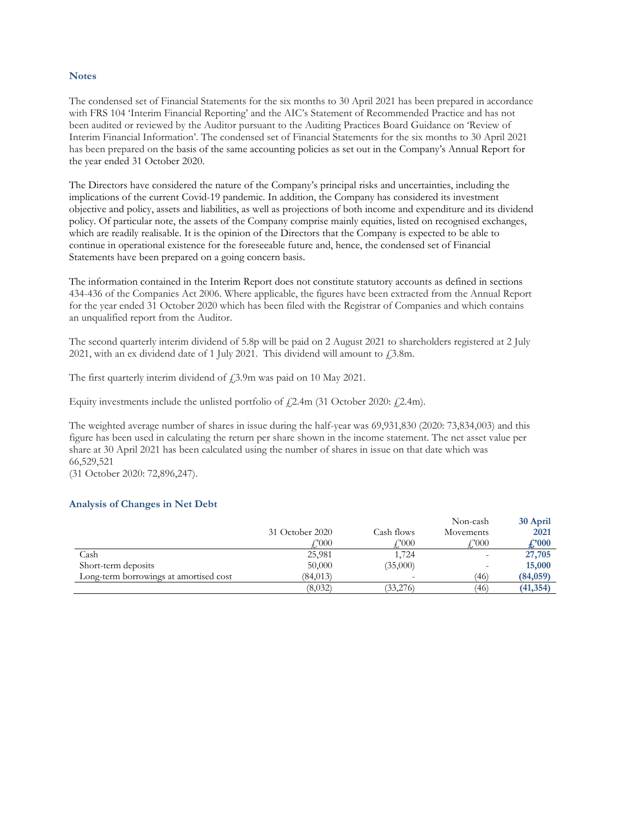#### **Notes**

The condensed set of Financial Statements for the six months to 30 April 2021 has been prepared in accordance with FRS 104 'Interim Financial Reporting' and the AIC's Statement of Recommended Practice and has not been audited or reviewed by the Auditor pursuant to the Auditing Practices Board Guidance on 'Review of Interim Financial Information'. The condensed set of Financial Statements for the six months to 30 April 2021 has been prepared on the basis of the same accounting policies as set out in the Company's Annual Report for the year ended 31 October 2020.

The Directors have considered the nature of the Company's principal risks and uncertainties, including the implications of the current Covid-19 pandemic. In addition, the Company has considered its investment objective and policy, assets and liabilities, as well as projections of both income and expenditure and its dividend policy. Of particular note, the assets of the Company comprise mainly equities, listed on recognised exchanges, which are readily realisable. It is the opinion of the Directors that the Company is expected to be able to continue in operational existence for the foreseeable future and, hence, the condensed set of Financial Statements have been prepared on a going concern basis.

The information contained in the Interim Report does not constitute statutory accounts as defined in sections 434-436 of the Companies Act 2006. Where applicable, the figures have been extracted from the Annual Report for the year ended 31 October 2020 which has been filed with the Registrar of Companies and which contains an unqualified report from the Auditor.

The second quarterly interim dividend of 5.8p will be paid on 2 August 2021 to shareholders registered at 2 July 2021, with an ex dividend date of 1 July 2021. This dividend will amount to  $\text{\textsterling}3.8\text{m}$ .

The first quarterly interim dividend of  $f$ , 3.9m was paid on 10 May 2021.

Equity investments include the unlisted portfolio of  $\ell$ , 2.4m (31 October 2020:  $\ell$ , 2.4m).

The weighted average number of shares in issue during the half-year was 69,931,830 (2020: 73,834,003) and this figure has been used in calculating the return per share shown in the income statement. The net asset value per share at 30 April 2021 has been calculated using the number of shares in issue on that date which was 66,529,521

(31 October 2020: 72,896,247).

### **Analysis of Changes in Net Debt**

|                                        |                      |            | Non-cash          | 30 April  |
|----------------------------------------|----------------------|------------|-------------------|-----------|
|                                        | 31 October 2020      | Cash flows | Movements         | 2021      |
|                                        | $^{\prime\prime}000$ | COO0       | $\mathcal{L}2000$ | £'000     |
| Cash                                   | 25,981               | 1,724      |                   | 27,705    |
| Short-term deposits                    | 50,000               | (35,000)   |                   | 15,000    |
| Long-term borrowings at amortised cost | (84, 013)            | $\sim$     | (46)              | (84,059)  |
|                                        | (8,032)              | (33,276)   | (46)              | (41, 354) |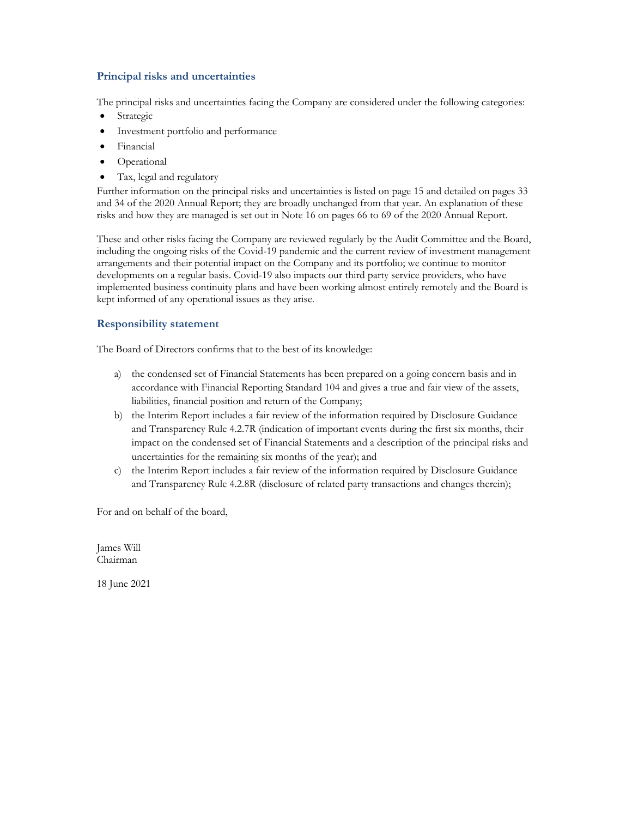### **Principal risks and uncertainties**

The principal risks and uncertainties facing the Company are considered under the following categories:

- Strategic
- Investment portfolio and performance
- Financial
- Operational
- Tax, legal and regulatory

Further information on the principal risks and uncertainties is listed on page 15 and detailed on pages 33 and 34 of the 2020 Annual Report; they are broadly unchanged from that year. An explanation of these risks and how they are managed is set out in Note 16 on pages 66 to 69 of the 2020 Annual Report.

These and other risks facing the Company are reviewed regularly by the Audit Committee and the Board, including the ongoing risks of the Covid-19 pandemic and the current review of investment management arrangements and their potential impact on the Company and its portfolio; we continue to monitor developments on a regular basis. Covid-19 also impacts our third party service providers, who have implemented business continuity plans and have been working almost entirely remotely and the Board is kept informed of any operational issues as they arise.

### **Responsibility statement**

The Board of Directors confirms that to the best of its knowledge:

- a) the condensed set of Financial Statements has been prepared on a going concern basis and in accordance with Financial Reporting Standard 104 and gives a true and fair view of the assets, liabilities, financial position and return of the Company;
- b) the Interim Report includes a fair review of the information required by Disclosure Guidance and Transparency Rule 4.2.7R (indication of important events during the first six months, their impact on the condensed set of Financial Statements and a description of the principal risks and uncertainties for the remaining six months of the year); and
- c) the Interim Report includes a fair review of the information required by Disclosure Guidance and Transparency Rule 4.2.8R (disclosure of related party transactions and changes therein);

For and on behalf of the board,

James Will Chairman

18 June 2021